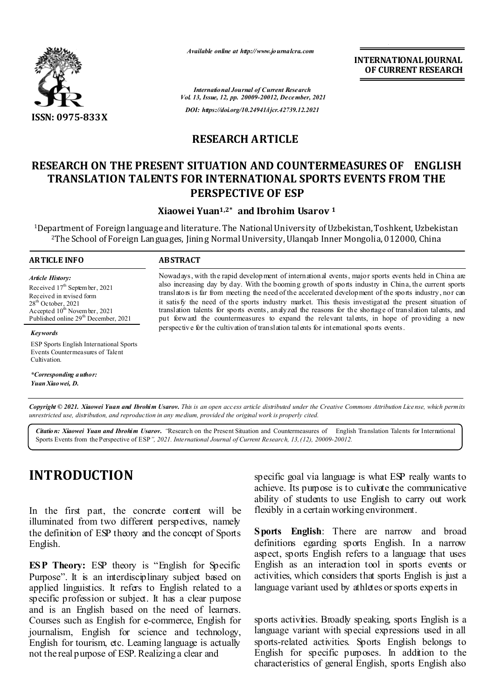

*Available online at http://www.journalcra.com*

*International Journal of Current Research Vol. 13, Issue, 12, pp. 20009-20012, December, 2021 DOI: https://doi.org/10.24941/ijcr.42739.12.2021*

## **RESEARCH ARTICLE**

## **RESEARCH ON THE PRESENT SITUATION AND COUNTERMEASURES OF ENGLISH TRANSLATION TALENTS FOR INTERNATIONAL SPORTS EVENTS FROM THE PERSPECTIVE OF ESP**

**Xiaowei Yuan1,2\* and Ibrohim Usarov 1**

1Department of Foreign language and literature. The National University of Uzbekistan, Toshkent, Uzbekistan 2The School of Foreign Languages, Jining Normal University,Ulanqab Inner Mongolia, 012000, China

### **ARTICLE INFO ABSTRACT**

*Keywords*

Cultivation.

*\*Corresponding author: Yuan Xiaowei, D.*

*Article History: Article History:* Received 17<sup>th</sup> Septem ber, 2021 Received in revised form Received in revised form Received in revised form  $28^{\text{th}}$  October  $2021$ Accepted  $10^{\text{th}}$  November, 2021 Published online 29<sup>th</sup> December, 2021  $28^{\text{th}}$  October, 2021 Ac cepted  $10^{\text{th}}$  Novem ba  $28<sup>th</sup>$  October, 2021 Accepted  $10^{th}$  Novem ber, 2021

ESP Sports English International Sports Events Countermeasures of Talent

Nowadays, with the rapid development of international events, major sports events held in China are also increasing day by day. With the booming growth of sports industry in China, the current sports translators is far from meeting the need of the accelerated development of the sports industry, nor can it satisfy the need of the sports industry market. This thesis investigated the present situation of translation talents for sports events, analyzed the reasons for the shortage of translation talents, and put forward the countermeasures to expand the relevant talents, in hope of providing a new perspective for the cultivation of translation talents for international sports events.

Copyright © 2021. Xiaowei Yuan and Ibrohim Usarov. This is an open access article distributed under the Creative Commons Attribution License, which permits *unrestricted use, distribution, and reproduction in any medium, provided the original work is properly cited.*

*Citation: Xiaowei Yuan and Ibrohim Usarov. "*Research on the Present Situation and Countermeasures of English Translation Talents for International Sports Events from the Perspective of ESP*", 2021. International Journal of Current Research, 13,(12), 20009-20012.*

# **INTRODUCTION**

In the first part, the concrete content will be illuminated from two different perspectives, namely the definition of ESP theory and the concept of Sports English.

**ESP Theory:** ESP theory is "English for Specific Purpose". It is an interdisciplinary subject based on applied linguistics. It refers to English related to a specific profession or subject. It has a clear purpose and is an English based on the need of learners. Courses such as English for e-commerce, English for journalism, English for science and technology, English for tourism, etc. Learning language is actually not the real purpose of ESP. Realizing a clear and

specific goal via language is what ESP really wants to achieve. Its purpose is to cultivate the communicative ability of students to use English to carry out work flexibly in a certain working environment.

**Sports English**: There are narrow and broad definitions egarding sports English. In a narrow aspect, sports English refers to a language that uses English as an interaction tool in sports events or activities, which considers that sports English is just a language variant used by athletes or sports experts in

sports activities. Broadly speaking, sports English is a language variant with special expressions used in all sports-related activities. Sports English belongs to English for specific purposes. In addition to the characteristics of general English, sports English also

**INTERNATIONAL JOURNAL OF CURRENT RESEARCH**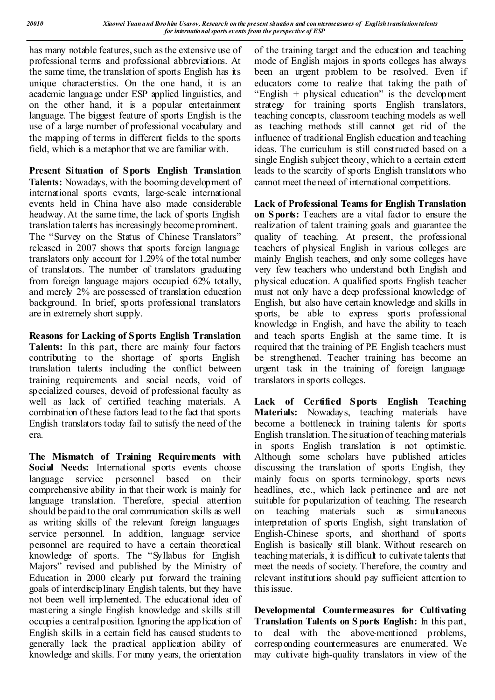has many notable features, such as the extensive use of professional terms and professional abbreviations. At the same time, the translation of sports English has its unique characteristics. On the one hand, it is an academic language under ESP applied linguistics, and on the other hand, it is a popular entertainment language. The biggest feature of sports English is the use of a large number of professional vocabulary and the mapping of terms in different fields to the sports field, which is a metaphor that we are familiar with.

**Present Situation of Sports English Translation Talents:** Nowadays, with the booming development of international sports events, large-scale international events held in China have also made considerable headway. At the same time, the lack of sports English translation talents has increasingly become prominent. The "Survey on the Status of Chinese Translators" released in 2007 shows that sports foreign language translators only account for 1.29% of the total number of translators. The number of translators graduating from foreign language majors occupied 62% totally, and merely 2% are possessed of translation education background. In brief, sports professional translators are in extremely short supply.

**Reasons for Lacking of Sports English Translation**  Talents: In this part, there are mainly four factors contributing to the shortage of sports English translation talents including the conflict between training requirements and social needs, void of specialized courses, devoid of professional faculty as well as lack of certified teaching materials. A combination of these factors lead to the fact that sports English translators today fail to satisfy the need of the era.

**The Mismatch of Training Requirements with Social Needs:** International sports events choose language service personnel based on their comprehensive ability in that their work is mainly for language translation. Therefore, special attention should be paid to the oral communication skills as well as writing skills of the relevant foreign languages service personnel. In addition, language service personnel are required to have a certain theoretical knowledge of sports. The "Syllabus for English Majors" revised and published by the Ministry of Education in 2000 clearly put forward the training goals of interdisciplinary English talents, but they have not been well implemented. The educational idea of mastering a single English knowledge and skills still occupies a central position. Ignoring the application of English skills in a certain field has caused students to generally lack the practical application ability of knowledge and skills. For many years, the orientation

of the training target and the education and teaching mode of English majors in sports colleges has always been an urgent problem to be resolved. Even if educators come to realize that taking the path of "English  $+$  physical education" is the development strategy for training sports English translators, teaching concepts, classroom teaching models as well as teaching methods still cannot get rid of the influence of traditional English education and teaching ideas. The curriculum is still constructed based on a single English subject theory, which to a certain extent leads to the scarcity of sports English translators who cannot meet the need of international competitions.

**Lack of Professional Teams for English Translation on Sports:** Teachers are a vital factor to ensure the realization of talent training goals and guarantee the quality of teaching. At present, the professional teachers of physical English in various colleges are mainly English teachers, and only some colleges have very few teachers who understand both English and physical education. A qualified sports English teacher must not only have a deep professional knowledge of English, but also have certain knowledge and skills in sports, be able to express sports professional knowledge in English, and have the ability to teach and teach sports English at the same time. It is required that the training of PE English teachers must be strengthened. Teacher training has become an urgent task in the training of foreign language translators in sports colleges.

**Lack of Certified Sports English Teaching Materials:** Nowadays, teaching materials have become a bottleneck in training talents for sports English translation. The situation of teaching materials in sports English translation is not optimistic. Although some scholars have published articles discussing the translation of sports English, they mainly focus on sports terminology, sports news headlines, etc., which lack pertinence and are not suitable for popularization of teaching. The research on teaching materials such as simultaneous interpretation of sports English, sight translation of English-Chinese sports, and shorthand of sports English is basically still blank. Without research on teaching materials, it is difficult to cultivate talents that meet the needs of society. Therefore, the country and relevant institutions should pay sufficient attention to this issue.

**Developmental Countermeasures for Cultivating Translation Talents on S ports English:** In this part, to deal with the above-mentioned problems, corresponding countermeasures are enumerated. We may cultivate high-quality translators in view of the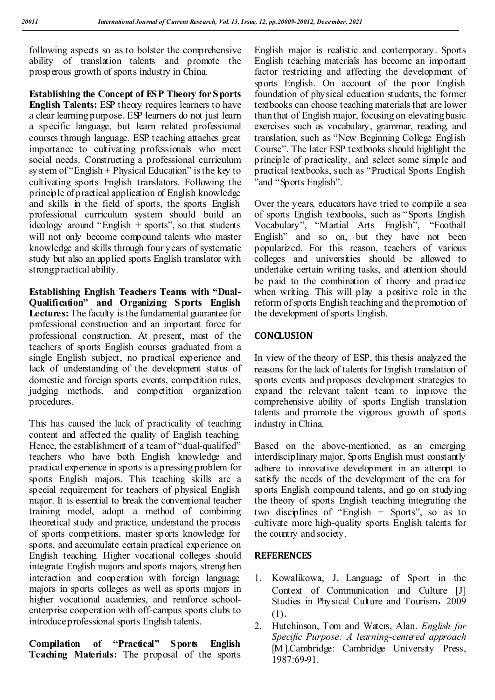following aspects so as to bolster the comprehensive ability of translation talents and promote the prosperous growth of sports industry in China.

**Establishing the Concept of ESP Theory for Sports English Talents:** ESP theory requires learners to have a clear learning purpose. ESP learners do not just learn a specific language, but learn related professional courses through language. ESP teaching attaches great importance to cultivating professionals who meet social needs. Constructing a professional curriculum system of "English  $+$  Physical Education" is the key to cultivating sports English translators. Following the principle of practical application of English knowledge and skills in the field of sports, the sports English professional curriculum system should build an ideology around "English  $+$  sports", so that students will not only become compound talents who master knowledge and skills through four years of systematic study but also an applied sports English translator with strong practical ability.

**Establishing English Teachers Teams with "Dual-Qualification" and Organizing Sports English Lectures:** The faculty is the fundamental guarantee for professional construction and an important force for professional construction. At present, most of the teachers of sports English courses graduated from a single English subject, no practical experience and lack of understanding of the development status of domestic and foreign sports events, competition rules, judging methods, and competition organization procedures.

This has caused the lack of practicality of teaching content and affected the quality of English teaching. Hence, the establishment of a team of "dual-qualified" teachers who have both English knowledge and practical experience in sports is a pressing problem for sports English majors. This teaching skills are a special requirement for teachers of physical English major. It is essential to break the conventional teacher training model, adopt a method of combining theoretical study and practice, understand the process of sports competitions, master sports knowledge for sports, and accumulate certain practical experience on English teaching. Higher vocational colleges should integrate English majors and sports majors, strengthen interaction and cooperation with foreign language majors in sports colleges as well as sports majors in higher vocational academies, and reinforce schoolenterprise cooperation with off-campus sports clubs to introduce professional sports English talents.

**Compilation of "Practical" Sports English Teaching Materials:** The proposal of the sports

English major is realistic and contemporary. Sports English teaching materials has become an important factor restricting and affecting the development of sports English. On account of the poor English foundation of physical education students, the former textbooks can choose teaching materials that are lower than that of English major, focusing on elevating basic exercises such as vocabulary, grammar, reading, and translation, such as "New Beginning College English Course". The later ESP textbooks should highlight the principle of practicality, and select some simple and practical textbooks, such as "Practical Sports English "and "Sports English".

Over the years, educators have tried to compile a sea of sports English textbooks, such as "Sports English Vocabulary", "Martial Arts English", "Football English" and so on, but they have not been popularized. For this reason, teachers of various colleges and universities should be allowed to undertake certain writing tasks, and attention should be paid to the combination of theory and practice when writing. This will play a positive role in the reform of sports English teaching and the promotion of the development of sports English.

## **CONCLUSION**

In view of the theory of ESP, this thesis analyzed the reasons for the lack of talents for English translation of sports events and proposes development strategies to expand the relevant talent team to improve the comprehensive ability of sports English translation talents and promote the vigorous growth of sports industry in China.

Based on the above-mentioned, as an emerging interdisciplinary major, Sports English must constantly adhere to innovative development in an attempt to satisfy the needs of the development of the era for sports English compound talents, and go on studying the theory of sports English teaching integrating the two disciplines of "English + Sports", so as to cultivate more high-quality sports English talents for the country and society.

## **REFERENCES**

- 1. Kowalikowa, J.Language of Sport in the Context of Communication and Culture [J] Studies in Physical Culture and Tourism,2009 (1).
- 2. Hutchinson, Tom and Waters, Alan. *English for Specific Purpose: A learning-centered approach* [M].Cambridge: Cambridge University Press, 1987:69-91.